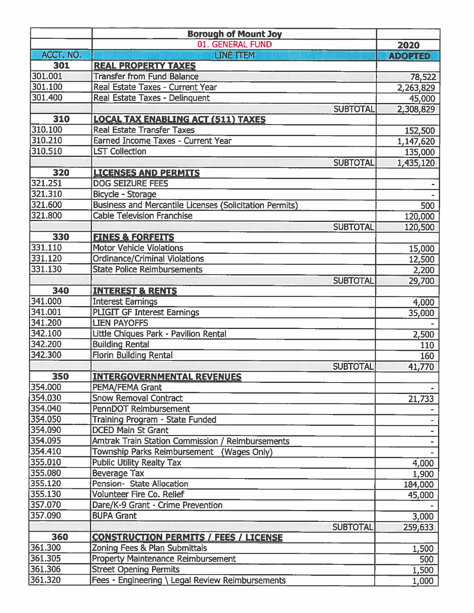|           | <b>Borough of Mount Joy</b>                                    |                 |                |
|-----------|----------------------------------------------------------------|-----------------|----------------|
|           | 01. GENERAL FUND                                               |                 | 2020           |
| ACCT. NO. | <b>LINE ITEM</b>                                               |                 | <b>ADOPTED</b> |
| 301       | <b>REAL PROPERTY TAXES</b>                                     |                 |                |
| 301.001   | <b>Transfer from Fund Balance</b>                              |                 | 78,522         |
| 301.100   | Real Estate Taxes - Current Year                               |                 | 2,263,829      |
| 301.400   | Real Estate Taxes - Delinquent                                 |                 | 45,000         |
|           |                                                                | <b>SUBTOTAL</b> | 2,308,829      |
| 310       | <b>LOCAL TAX ENABLING ACT (511) TAXES</b>                      |                 |                |
| 310.100   | <b>Real Estate Transfer Taxes</b>                              |                 | 152,500        |
| 310.210   | <b>Earned Income Taxes - Current Year</b>                      |                 | 1,147,620      |
| 310.510   | <b>LST Collection</b>                                          |                 | 135,000        |
|           |                                                                | <b>SUBTOTAL</b> | 1,435,120      |
| 320       | <b>LICENSES AND PERMITS</b>                                    |                 |                |
| 321.251   | <b>DOG SEIZURE FEES</b>                                        |                 |                |
| 321.310   | Bicycle - Storage                                              |                 |                |
| 321.600   | <b>Business and Mercantile Licenses (Solicitation Permits)</b> |                 | 500            |
| 321.800   | <b>Cable Television Franchise</b>                              |                 | 120,000        |
|           |                                                                | <b>SUBTOTAL</b> | 120,500        |
| 330       | <b>FINES &amp; FORFEITS</b>                                    |                 |                |
| 331.110   | <b>Motor Vehicle Violations</b>                                |                 | 15,000         |
| 331.120   | <b>Ordinance/Criminal Violations</b>                           |                 | 12,500         |
| 331.130   | <b>State Police Reimbursements</b>                             |                 | 2,200          |
|           |                                                                | <b>SUBTOTAL</b> | 29,700         |
| 340       | <b>INTEREST &amp; RENTS</b>                                    |                 |                |
| 341.000   | <b>Interest Earnings</b>                                       |                 | 4,000          |
| 341.001   | <b>PLIGIT GF Interest Earnings</b>                             |                 | 35,000         |
| 341.200   | <b>LIEN PAYOFFS</b>                                            |                 |                |
| 342.100   | Little Chiques Park - Pavilion Rental                          |                 | 2,500          |
| 342.200   | <b>Building Rental</b>                                         |                 | 110            |
| 342.300   | <b>Florin Building Rental</b>                                  |                 | 160            |
|           |                                                                | <b>SUBTOTAL</b> | 41,770         |
| 350       | <b>INTERGOVERNMENTAL REVENUES</b>                              |                 |                |
| 354.000   | PEMA/FEMA Grant                                                |                 |                |
| 354.030   | <b>Snow Removal Contract</b>                                   |                 | 21,733         |
| 354.040   | <b>PennDOT Reimbursement</b>                                   |                 |                |
| 354.050   | Training Program - State Funded                                |                 |                |
| 354.090   | <b>DCED Main St Grant</b>                                      |                 |                |
| 354.095   | <b>Amtrak Train Station Commission / Reimbursements</b>        |                 |                |
| 354.410   | Township Parks Reimbursement (Wages Only)                      |                 |                |
| 355.010   | <b>Public Utility Realty Tax</b>                               |                 | 4,000          |
| 355.080   | <b>Beverage Tax</b>                                            |                 | 1,900          |
| 355.120   | Pension- State Allocation                                      |                 | 184,000        |
| 355.130   | Volunteer Fire Co. Relief                                      |                 | 45,000         |
| 357.070   | Dare/K-9 Grant - Crime Prevention                              |                 |                |
| 357.090   | <b>BUPA Grant</b>                                              |                 | 3,000          |
|           |                                                                | <b>SUBTOTAL</b> | 259,633        |
| 360       | <b>CONSTRUCTION PERMITS / FEES / LICENSE</b>                   |                 |                |
| 361.300   | Zoning Fees & Plan Submittals                                  |                 | 1,500          |
| 361.305   | <b>Property Maintenance Reimbursement</b>                      |                 | 500            |
| 361.306   | <b>Street Opening Permits</b>                                  |                 | 1,500          |
| 361.320   | Fees - Engineering \ Legal Review Reimbursements               |                 | 1,000          |
|           |                                                                |                 |                |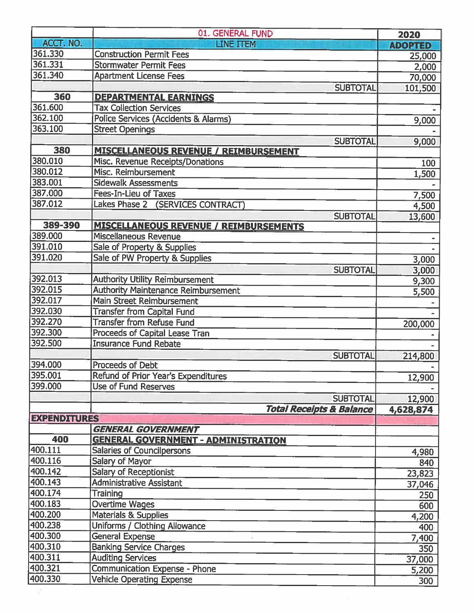|                     | 01. GENERAL FUND                                | 2020           |
|---------------------|-------------------------------------------------|----------------|
| ACCT. NO.           | <b>LINE TTEM</b>                                | <b>ADOPTED</b> |
| 361.330             | <b>Construction Permit Fees</b>                 | 25,000         |
| 361.331             | <b>Stormwater Permit Fees</b>                   | 2,000          |
| 361.340             | <b>Apartment License Fees</b>                   | 70,000         |
|                     | <b>SUBTOTAL</b>                                 | 101,500        |
| 360                 | <b>DEPARTMENTAL EARNINGS</b>                    |                |
| 361.600             | <b>Tax Collection Services</b>                  |                |
| 362.100             | <b>Police Services (Accidents &amp; Alarms)</b> | 9,000          |
| 363.100             | <b>Street Openings</b>                          |                |
|                     | <b>SUBTOTAL</b>                                 | 9,000          |
| 380                 | <b>MISCELLANEOUS REVENUE / REIMBURSEMENT</b>    |                |
| 380.010             | Misc. Revenue Receipts/Donations                | 100            |
| 380.012             | Misc. Reimbursement                             | 1,500          |
| 383.001             | <b>Sidewalk Assessments</b>                     |                |
| 387.000             | Fees-In-Lieu of Taxes                           | 7,500          |
| 387.012             | Lakes Phase 2 (SERVICES CONTRACT)               | 4,500          |
|                     | <b>SUBTOTAL</b>                                 | 13,600         |
| 389-390             | <b>MISCELLANEOUS REVENUE / REIMBURSEMENTS</b>   |                |
| 389.000             | <b>Miscellaneous Revenue</b>                    |                |
| 391.010             | Sale of Property & Supplies                     |                |
| 391.020             | Sale of PW Property & Supplies                  | 3,000          |
|                     | <b>SUBTOTAL</b>                                 | 3,000          |
| 392.013             | <b>Authority Utility Reimbursement</b>          | 9,300          |
| 392.015             | <b>Authority Maintenance Reimbursement</b>      | 5,500          |
| 392.017             | Main Street Reimbursement                       |                |
| 392.030             | <b>Transfer from Capital Fund</b>               |                |
| 392.270             | <b>Transfer from Refuse Fund</b>                | 200,000        |
| 392.300             | Proceeds of Capital Lease Tran                  |                |
| 392.500             | <b>Insurance Fund Rebate</b>                    |                |
|                     | <b>SUBTOTAL</b>                                 | 214,800        |
| 394.000             | <b>Proceeds of Debt</b>                         |                |
| 395.001             | Refund of Prior Year's Expenditures             | 12,900         |
| 399.000             | Use of Fund Reserves                            |                |
|                     | <b>SUBTOTAL</b>                                 | 12,900         |
|                     | <b>Total Receipts &amp; Balance</b>             | 4,628,874      |
| <b>EXPENDITURES</b> | <b>GENERAL GOVERNMENT</b>                       |                |
| 400                 | <b>GENERAL GOVERNMENT - ADMINISTRATION</b>      |                |
| 400.111             | <b>Salaries of Councilpersons</b>               |                |
| 400.116             | Salary of Mayor                                 | 4,980          |
| 400.142             | <b>Salary of Receptionist</b>                   | 840            |
| 400.143             | <b>Administrative Assistant</b>                 | 23,823         |
| 400.174             | <b>Training</b>                                 | 37,046         |
| 400.183             | <b>Overtime Wages</b>                           | 250            |
| 400.200             | Materials & Supplies                            | 600            |
| 400.238             | Uniforms / Clothing Allowance                   | 4,200          |
| 400.300             | <b>General Expense</b>                          | 400            |
| 400.310             | <b>Banking Service Charges</b>                  | 7,400          |
| 400.311             | <b>Auditing Services</b>                        | 350            |
| 400.321             | <b>Communication Expense - Phone</b>            | 37,000         |
| 400.330             | <b>Vehicle Operating Expense</b>                | 5,200<br>300   |
|                     |                                                 |                |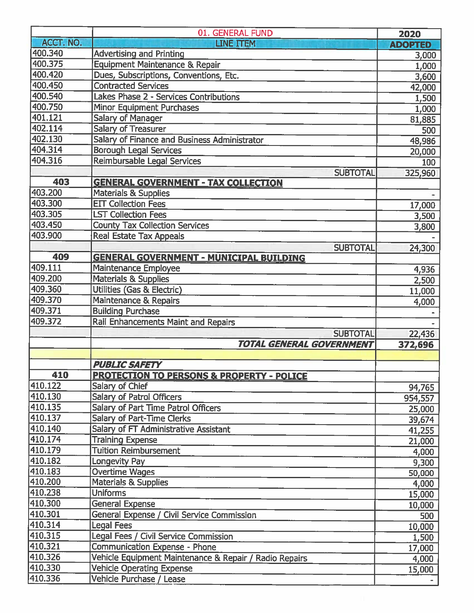|           | 01. GENERAL FUND                                       | 2020           |
|-----------|--------------------------------------------------------|----------------|
| ACCT. NO. | <b>LINE ITEM</b>                                       | <b>ADOPTED</b> |
| 400.340   | <b>Advertising and Printing</b>                        | 3,000          |
| 400.375   | Equipment Maintenance & Repair                         | 1,000          |
| 400.420   | Dues, Subscriptions, Conventions, Etc.                 | 3,600          |
| 400.450   | <b>Contracted Services</b>                             | 42,000         |
| 400.540   | Lakes Phase 2 - Services Contributions                 | 1,500          |
| 400.750   | <b>Minor Equipment Purchases</b>                       | 1,000          |
| 401.121   | <b>Salary of Manager</b>                               | 81,885         |
| 402.114   | <b>Salary of Treasurer</b>                             | 500            |
| 402.130   | Salary of Finance and Business Administrator           | 48,986         |
| 404.314   | <b>Borough Legal Services</b>                          | 20,000         |
| 404.316   | Reimbursable Legal Services                            | 100            |
|           | <b>SUBTOTAL</b>                                        | 325,960        |
| 403       | <b>GENERAL GOVERNMENT - TAX COLLECTION</b>             |                |
| 403.200   | <b>Materials &amp; Supplies</b>                        |                |
| 403.300   | <b>EIT Collection Fees</b>                             | 17,000         |
| 403.305   | <b>LST Collection Fees</b>                             | 3,500          |
| 403.450   | <b>County Tax Collection Services</b>                  | 3,800          |
| 403.900   | <b>Real Estate Tax Appeals</b>                         |                |
|           | <b>SUBTOTAL</b>                                        | 24,300         |
| 409       | <b>GENERAL GOVERNMENT - MUNICIPAL BUILDING</b>         |                |
| 409.111   | Maintenance Employee                                   | 4,936          |
| 409.200   | <b>Materials &amp; Supplies</b>                        | 2,500          |
| 409.360   | Utilities (Gas & Electric)                             | 11,000         |
| 409.370   | Maintenance & Repairs                                  | 4,000          |
| 409.371   | <b>Building Purchase</b>                               |                |
| 409.372   | Rail Enhancements Maint and Repairs                    |                |
|           | <b>SUBTOTAL</b>                                        | 22,436         |
|           | TOTAL GENERAL GOVERNMENT                               | 372,696        |
|           |                                                        |                |
|           | <b>PUBLIC SAFETY</b>                                   |                |
| 410       | <b>PROTECTION TO PERSONS &amp; PROPERTY - POLICE</b>   |                |
| 410.122   | Salary of Chief                                        | 94,765         |
| 410.130   | <b>Salary of Patrol Officers</b>                       | 954,557        |
| 410.135   | Salary of Part Time Patrol Officers                    | 25,000         |
| 410.137   | Salary of Part-Time Clerks                             | 39,674         |
| 410.140   | <b>Salary of FT Administrative Assistant</b>           | 41,255         |
| 410.174   | <b>Training Expense</b>                                | 21,000         |
| 410.179   | <b>Tuition Reimbursement</b>                           | 4,000          |
| 410.182   | Longevity Pay                                          | 9,300          |
| 410.183   | Overtime Wages                                         | 50,000         |
| 410.200   | Materials & Supplies                                   | 4,000          |
| 410.238   | <b>Uniforms</b>                                        | 15,000         |
| 410.300   | <b>General Expense</b>                                 | 10,000         |
| 410.301   | General Expense / Civil Service Commission             | 500            |
| 410.314   | <b>Legal Fees</b>                                      | 10,000         |
| 410.315   | Legal Fees / Civil Service Commission                  | 1,500          |
| 410.321   | Communication Expense - Phone                          | 17,000         |
| 410.326   | Vehicle Equipment Maintenance & Repair / Radio Repairs | 4,000          |
| 410.330   | <b>Vehicle Operating Expense</b>                       | 15,000         |
| 410.336   | Vehicle Purchase / Lease                               |                |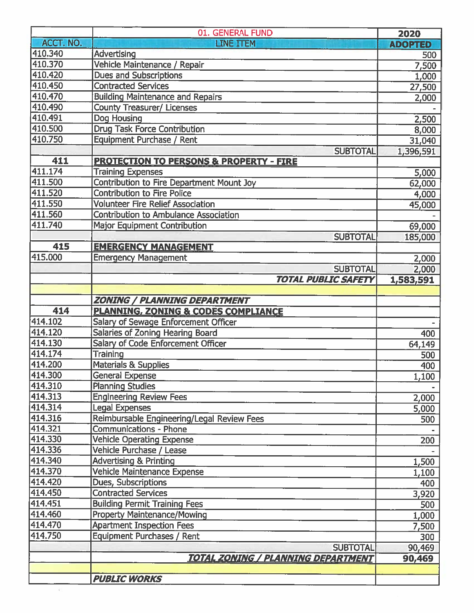|                    | 01. GENERAL FUND                                                            | 2020           |
|--------------------|-----------------------------------------------------------------------------|----------------|
| ACCT. NO.          | <b>LINE ITEM</b>                                                            | <b>ADOPTED</b> |
| 410.340            | Advertising                                                                 | 500            |
| 410.370            | Vehicle Maintenance / Repair                                                | 7,500          |
| 410.420            | <b>Dues and Subscriptions</b>                                               | 1,000          |
| 410.450            | <b>Contracted Services</b>                                                  | 27,500         |
| 410.470            | <b>Building Maintenance and Repairs</b>                                     | 2,000          |
| 410.490            | <b>County Treasurer/ Licenses</b>                                           |                |
| 410.491            | Dog Housing                                                                 | 2,500          |
| 410.500            | <b>Drug Task Force Contribution</b>                                         | 8,000          |
| 410.750            | <b>Equipment Purchase / Rent</b>                                            | 31,040         |
|                    | <b>SUBTOTAL</b>                                                             | 1,396,591      |
| 411                | <b>PROTECTION TO PERSONS &amp; PROPERTY - FIRE</b>                          |                |
| 411.174            | <b>Training Expenses</b>                                                    | 5,000          |
| 411.500            | <b>Contribution to Fire Department Mount Joy</b>                            | 62,000         |
| 411.520            | <b>Contribution to Fire Police</b>                                          | 4,000          |
| 411.550            | <b>Volunteer Fire Relief Association</b>                                    | 45,000         |
| 411.560            | <b>Contribution to Ambulance Association</b>                                |                |
| 411.740            | <b>Major Equipment Contribution</b>                                         | 69,000         |
|                    | <b>SUBTOTAL</b>                                                             | 185,000        |
| 415                | <b>EMERGENCY MANAGEMENT</b>                                                 |                |
| 415.000            | <b>Emergency Management</b>                                                 | 2,000          |
|                    | <b>SUBTOTAL</b>                                                             | 2,000          |
|                    | <b>TOTAL PUBLIC SAFETY</b>                                                  | 1,583,591      |
|                    |                                                                             |                |
|                    | <b>ZONING / PLANNING DEPARTMENT</b>                                         |                |
| 414                | <b>PLANNING, ZONING &amp; CODES COMPLIANCE</b>                              |                |
| 414.102            | Salary of Sewage Enforcement Officer                                        |                |
| 414.120            | Salaries of Zoning Hearing Board                                            | 400            |
| 414.130            | <b>Salary of Code Enforcement Officer</b>                                   | 64,149         |
| 414.174            | <b>Training</b>                                                             | 500            |
| 414.200            | Materials & Supplies                                                        | 400            |
| 414.300            | <b>General Expense</b>                                                      | 1,100          |
| 414.310            | <b>Planning Studies</b>                                                     |                |
| 414.313<br>414.314 | <b>Engineering Review Fees</b>                                              | 2,000          |
| 414.316            | <b>Legal Expenses</b>                                                       | 5,000          |
| 414.321            | Reimbursable Engineering/Legal Review Fees<br><b>Communications - Phone</b> | 500            |
| 414.330            | <b>Vehicle Operating Expense</b>                                            |                |
| 414.336            | Vehicle Purchase / Lease                                                    | 200            |
| 414.340            | <b>Advertising &amp; Printing</b>                                           |                |
| 414.370            | Vehicle Maintenance Expense                                                 | 1,500<br>1,100 |
| 414.420            | <b>Dues, Subscriptions</b>                                                  | 400            |
| 414.450            | <b>Contracted Services</b>                                                  | 3,920          |
| 414.451            | <b>Building Permit Training Fees</b>                                        | 500            |
| 414.460            | <b>Property Maintenance/Mowing</b>                                          | 1,000          |
| 414.470            | <b>Apartment Inspection Fees</b>                                            | 7,500          |
| 414.750            | Equipment Purchases / Rent                                                  | 300            |
|                    | <b>SUBTOTAL</b>                                                             | 90,469         |
|                    | <u>TOTAL ZONING / PLANNING DEPARTMENT</u>                                   | 90,469         |
|                    |                                                                             |                |
|                    | <b>PUBLIC WORKS</b>                                                         |                |
|                    |                                                                             |                |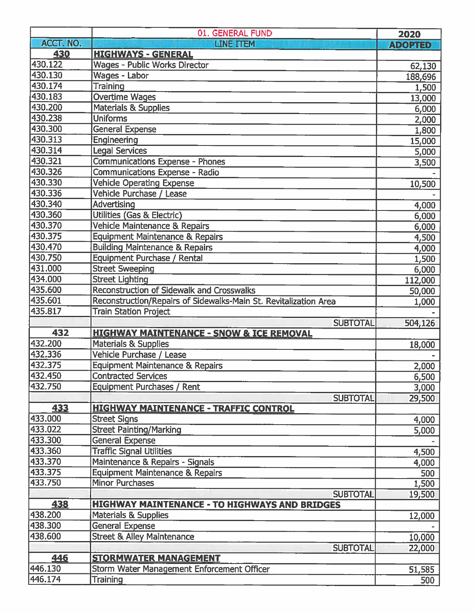|           | 01. GENERAL FUND                                                 | 2020           |
|-----------|------------------------------------------------------------------|----------------|
| ACCT. NO. | <b>LINE TTEM</b>                                                 | <b>ADOPTED</b> |
| 430       | <b>HIGHWAYS - GENERAL</b>                                        |                |
| 430.122   | <b>Wages - Public Works Director</b>                             | 62,130         |
| 430.130   | Wages - Labor                                                    | 188,696        |
| 430.174   | <b>Training</b>                                                  | 1,500          |
| 430.183   | <b>Overtime Wages</b>                                            | 13,000         |
| 430.200   | <b>Materials &amp; Supplies</b>                                  | 6,000          |
| 430.238   | <b>Uniforms</b>                                                  | 2,000          |
| 430.300   | <b>General Expense</b>                                           | 1,800          |
| 430.313   | Engineering                                                      | 15,000         |
| 430.314   | <b>Legal Services</b>                                            | 5,000          |
| 430.321   | Communications Expense - Phones                                  | 3,500          |
| 430.326   | Communications Expense - Radio                                   |                |
| 430.330   | <b>Vehicle Operating Expense</b>                                 | 10,500         |
| 430.336   | Vehicle Purchase / Lease                                         |                |
| 430.340   | <b>Advertising</b>                                               | 4,000          |
| 430.360   | Utilities (Gas & Electric)                                       | 6,000          |
| 430.370   | Vehicle Maintenance & Repairs                                    | 6,000          |
| 430.375   | <b>Equipment Maintenance &amp; Repairs</b>                       | 4,500          |
| 430.470   | <b>Building Maintenance &amp; Repairs</b>                        | 4,000          |
| 430.750   | Equipment Purchase / Rental                                      | 1,500          |
| 431.000   | <b>Street Sweeping</b>                                           | 6,000          |
| 434.000   | <b>Street Lighting</b>                                           | 112,000        |
| 435.600   | <b>Reconstruction of Sidewalk and Crosswalks</b>                 | 50,000         |
| 435.601   | Reconstruction/Repairs of Sidewalks-Main St. Revitalization Area | 1,000          |
| 435.817   | <b>Train Station Project</b>                                     |                |
|           | <b>SUBTOTAL</b>                                                  | 504,126        |
| 432       | <b>HIGHWAY MAINTENANCE - SNOW &amp; ICE REMOVAL</b>              |                |
| 432.200   | <b>Materials &amp; Supplies</b>                                  | 18,000         |
| 432.336   | Vehicle Purchase / Lease                                         |                |
| 432.375   | <b>Equipment Maintenance &amp; Repairs</b>                       | 2,000          |
| 432.450   | <b>Contracted Services</b>                                       | 6,500          |
| 432.750   | Equipment Purchases / Rent                                       | 3,000          |
|           | <b>SUBTOTAL</b>                                                  | 29,500         |
| 433       | <b>HIGHWAY MAINTENANCE - TRAFFIC CONTROL</b>                     |                |
| 433.000   | <b>Street Signs</b>                                              | 4,000          |
| 433.022   | <b>Street Painting/Marking</b>                                   | 5,000          |
| 433.300   | General Expense                                                  |                |
| 433.360   | <b>Traffic Signal Utilities</b>                                  | 4,500          |
| 433.370   | Maintenance & Repairs - Signals                                  | 4,000          |
| 433.375   | <b>Equipment Maintenance &amp; Repairs</b>                       | 500            |
| 433.750   | <b>Minor Purchases</b>                                           | 1,500          |
|           | <b>SUBTOTAL</b>                                                  | 19,500         |
| 438       | <b>HIGHWAY MAINTENANCE - TO HIGHWAYS AND BRIDGES</b>             |                |
| 438.200   | <b>Materials &amp; Supplies</b>                                  | 12,000         |
| 438.300   | <b>General Expense</b>                                           |                |
| 438.600   | <b>Street &amp; Alley Maintenance</b>                            | 10,000         |
|           | <b>SUBTOTAL</b>                                                  | 22,000         |
| 446       | <b>STORMWATER MANAGEMENT</b>                                     |                |
| 446.130   | Storm Water Management Enforcement Officer                       | 51,585         |
| 446.174   | <b>Training</b>                                                  | 500            |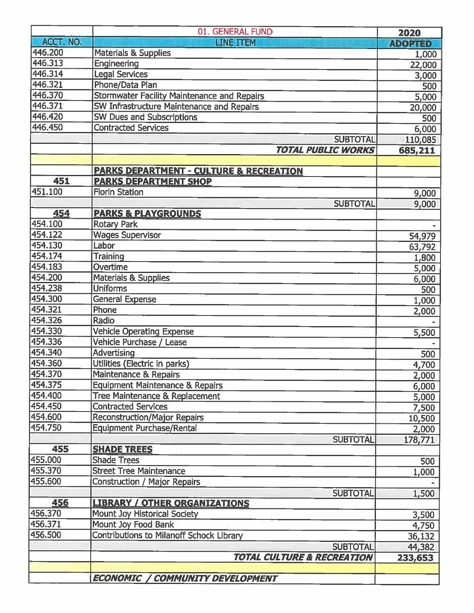|           | 01. GENERAL FUND                                   | 2020           |
|-----------|----------------------------------------------------|----------------|
| ACCT. NO. | <b>LINE ITEM</b>                                   | <b>ADOPTED</b> |
| 446.200   | <b>Materials &amp; Supplies</b>                    | 1,000          |
| 446.313   | Engineering                                        | 22,000         |
| 446.314   | <b>Legal Services</b>                              | 3,000          |
| 446.321   | Phone/Data Plan                                    | 500            |
| 446.370   | Stormwater Facility Maintenance and Repairs        | 5,000          |
| 446.371   | SW Infrastructure Maintenance and Repairs          | 20,000         |
| 446.420   | <b>SW Dues and Subscriptions</b>                   | 500            |
| 446,450   | <b>Contracted Services</b>                         | 6,000          |
|           | <b>SUBTOTAL</b>                                    | 110,085        |
|           | <b>TOTAL PUBLIC WORKS</b>                          | 685,211        |
|           |                                                    |                |
|           | <b>PARKS DEPARTMENT - CULTURE &amp; RECREATION</b> |                |
| 451       | <b>PARKS DEPARTMENT SHOP</b>                       |                |
| 451.100   | <b>Florin Station</b>                              | 9,000          |
|           | <b>SUBTOTAL</b>                                    | 9,000          |
| 454       | <b>PARKS &amp; PLAYGROUNDS</b>                     |                |
| 454.100   | <b>Rotary Park</b>                                 |                |
| 454.122   | <b>Wages Supervisor</b>                            | 54,979         |
| 454.130   | Labor                                              | 63,792         |
| 454.174   | <b>Training</b>                                    | 1,800          |
| 454.183   | Overtime                                           | 5,000          |
| 454.200   | <b>Materials &amp; Supplies</b>                    | 6,000          |
| 454.238   | <b>Uniforms</b>                                    | 500            |
| 454.300   | <b>General Expense</b>                             | 1,000          |
| 454.321   | Phone                                              | 2,000          |
| 454.326   | Radio                                              |                |
| 454.330   | <b>Vehicle Operating Expense</b>                   | 5,500          |
| 454.336   | Vehicle Purchase / Lease                           |                |
| 454.340   | <b>Advertising</b>                                 | 500            |
| 454.360   | Utilities (Electric in parks)                      | 4,700          |
| 454.370   | Maintenance & Repairs                              | 2,000          |
| 454.375   | <b>Equipment Maintenance &amp; Repairs</b>         | 6,000          |
| 454.400   | Tree Maintenance & Replacement                     | 5,000          |
| 454.450   | <b>Contracted Services</b>                         | 7,500          |
| 454.600   | <b>Reconstruction/Major Repairs</b>                | 10,500         |
| 454.750   | <b>Equipment Purchase/Rental</b>                   | 2,000          |
|           | <b>SUBTOTAL</b>                                    | 178,771        |
| 455       | <b>SHADE TREES</b>                                 |                |
| 455.000   | <b>Shade Trees</b>                                 | 500            |
| 455.370   | <b>Street Tree Maintenance</b>                     | 1,000          |
| 455.600   | Construction / Major Repairs                       |                |
|           | <b>SUBTOTAL</b>                                    | 1,500          |
| 456       | <b>LIBRARY / OTHER ORGANIZATIONS</b>               |                |
| 456.370   | Mount Joy Historical Society                       | 3,500          |
| 456.371   | Mount Joy Food Bank                                | 4,750          |
| 456.500   | Contributions to Milanoff Schock Library           | 36,132         |
|           | <b>SUBTOTAL</b>                                    | 44,382         |
|           | <b>TOTAL CULTURE &amp; RECREATION</b>              | 233,653        |
|           |                                                    |                |
|           | <b>ECONOMIC / COMMUNITY DEVELOPMENT</b>            |                |